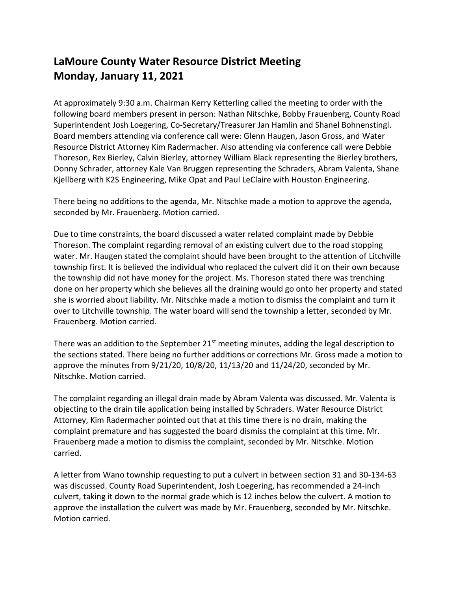## **LaMoure County Water Resource District Meeting Monday, January 11, 2021**

At approximately 9:30 a.m. Chairman Kerry Ketterling called the meeting to order with the following board members present in person: Nathan Nitschke, Bobby Frauenberg, County Road Superintendent Josh Loegering, Co-Secretary/Treasurer Jan Hamlin and Shanel Bohnenstingl. Board members attending via conference call were: Glenn Haugen, Jason Gross, and Water Resource District Attorney Kim Radermacher. Also attending via conference call were Debbie Thoreson, Rex Bierley, Calvin Bierley, attorney William Black representing the Bierley brothers, Donny Schrader, attorney Kale Van Bruggen representing the Schraders, Abram Valenta, Shane Kjellberg with K2S Engineering, Mike Opat and Paul LeClaire with Houston Engineering.

There being no additions to the agenda, Mr. Nitschke made a motion to approve the agenda, seconded by Mr. Frauenberg. Motion carried.

Due to time constraints, the board discussed a water related complaint made by Debbie Thoreson. The complaint regarding removal of an existing culvert due to the road stopping water. Mr. Haugen stated the complaint should have been brought to the attention of Litchville township first. It is believed the individual who replaced the culvert did it on their own because the township did not have money for the project. Ms. Thoreson stated there was trenching done on her property which she believes all the draining would go onto her property and stated she is worried about liability. Mr. Nitschke made a motion to dismiss the complaint and turn it over to Litchville township. The water board will send the township a letter, seconded by Mr. Frauenberg. Motion carried.

There was an addition to the September  $21<sup>st</sup>$  meeting minutes, adding the legal description to the sections stated. There being no further additions or corrections Mr. Gross made a motion to approve the minutes from 9/21/20, 10/8/20, 11/13/20 and 11/24/20, seconded by Mr. Nitschke. Motion carried.

The complaint regarding an illegal drain made by Abram Valenta was discussed. Mr. Valenta is objecting to the drain tile application being installed by Schraders. Water Resource District Attorney, Kim Radermacher pointed out that at this time there is no drain, making the complaint premature and has suggested the board dismiss the complaint at this time. Mr. Frauenberg made a motion to dismiss the complaint, seconded by Mr. Nitschke. Motion carried.

A letter from Wano township requesting to put a culvert in between section 31 and 30-134-63 was discussed. County Road Superintendent, Josh Loegering, has recommended a 24-inch culvert, taking it down to the normal grade which is 12 inches below the culvert. A motion to approve the installation the culvert was made by Mr. Frauenberg, seconded by Mr. Nitschke. Motion carried.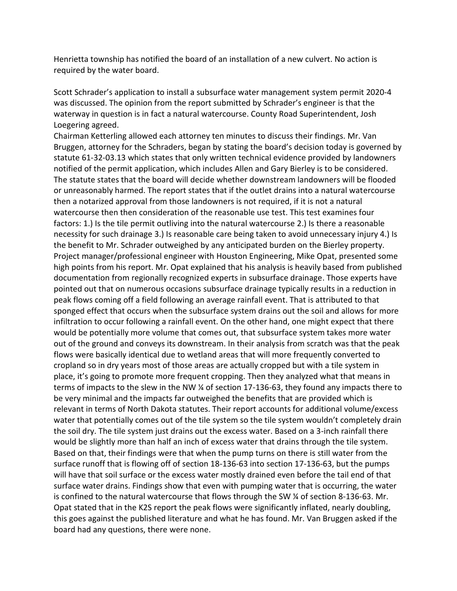Henrietta township has notified the board of an installation of a new culvert. No action is required by the water board.

Scott Schrader's application to install a subsurface water management system permit 2020-4 was discussed. The opinion from the report submitted by Schrader's engineer is that the waterway in question is in fact a natural watercourse. County Road Superintendent, Josh Loegering agreed.

Chairman Ketterling allowed each attorney ten minutes to discuss their findings. Mr. Van Bruggen, attorney for the Schraders, began by stating the board's decision today is governed by statute 61-32-03.13 which states that only written technical evidence provided by landowners notified of the permit application, which includes Allen and Gary Bierley is to be considered. The statute states that the board will decide whether downstream landowners will be flooded or unreasonably harmed. The report states that if the outlet drains into a natural watercourse then a notarized approval from those landowners is not required, if it is not a natural watercourse then then consideration of the reasonable use test. This test examines four factors: 1.) Is the tile permit outliving into the natural watercourse 2.) Is there a reasonable necessity for such drainage 3.) Is reasonable care being taken to avoid unnecessary injury 4.) Is the benefit to Mr. Schrader outweighed by any anticipated burden on the Bierley property. Project manager/professional engineer with Houston Engineering, Mike Opat, presented some high points from his report. Mr. Opat explained that his analysis is heavily based from published documentation from regionally recognized experts in subsurface drainage. Those experts have pointed out that on numerous occasions subsurface drainage typically results in a reduction in peak flows coming off a field following an average rainfall event. That is attributed to that sponged effect that occurs when the subsurface system drains out the soil and allows for more infiltration to occur following a rainfall event. On the other hand, one might expect that there would be potentially more volume that comes out, that subsurface system takes more water out of the ground and conveys its downstream. In their analysis from scratch was that the peak flows were basically identical due to wetland areas that will more frequently converted to cropland so in dry years most of those areas are actually cropped but with a tile system in place, it's going to promote more frequent cropping. Then they analyzed what that means in terms of impacts to the slew in the NW ¼ of section 17-136-63, they found any impacts there to be very minimal and the impacts far outweighed the benefits that are provided which is relevant in terms of North Dakota statutes. Their report accounts for additional volume/excess water that potentially comes out of the tile system so the tile system wouldn't completely drain the soil dry. The tile system just drains out the excess water. Based on a 3-inch rainfall there would be slightly more than half an inch of excess water that drains through the tile system. Based on that, their findings were that when the pump turns on there is still water from the surface runoff that is flowing off of section 18-136-63 into section 17-136-63, but the pumps will have that soil surface or the excess water mostly drained even before the tail end of that surface water drains. Findings show that even with pumping water that is occurring, the water is confined to the natural watercourse that flows through the SW ¼ of section 8-136-63. Mr. Opat stated that in the K2S report the peak flows were significantly inflated, nearly doubling, this goes against the published literature and what he has found. Mr. Van Bruggen asked if the board had any questions, there were none.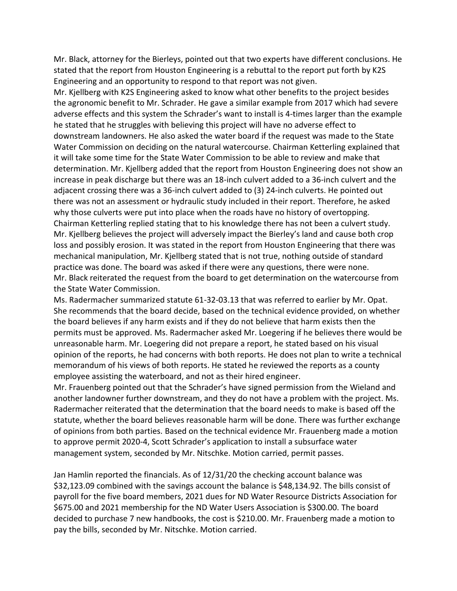Mr. Black, attorney for the Bierleys, pointed out that two experts have different conclusions. He stated that the report from Houston Engineering is a rebuttal to the report put forth by K2S Engineering and an opportunity to respond to that report was not given.

Mr. Kjellberg with K2S Engineering asked to know what other benefits to the project besides the agronomic benefit to Mr. Schrader. He gave a similar example from 2017 which had severe adverse effects and this system the Schrader's want to install is 4-times larger than the example he stated that he struggles with believing this project will have no adverse effect to downstream landowners. He also asked the water board if the request was made to the State Water Commission on deciding on the natural watercourse. Chairman Ketterling explained that it will take some time for the State Water Commission to be able to review and make that determination. Mr. Kjellberg added that the report from Houston Engineering does not show an increase in peak discharge but there was an 18-inch culvert added to a 36-inch culvert and the adjacent crossing there was a 36-inch culvert added to (3) 24-inch culverts. He pointed out there was not an assessment or hydraulic study included in their report. Therefore, he asked why those culverts were put into place when the roads have no history of overtopping. Chairman Ketterling replied stating that to his knowledge there has not been a culvert study. Mr. Kjellberg believes the project will adversely impact the Bierley's land and cause both crop loss and possibly erosion. It was stated in the report from Houston Engineering that there was mechanical manipulation, Mr. Kjellberg stated that is not true, nothing outside of standard practice was done. The board was asked if there were any questions, there were none. Mr. Black reiterated the request from the board to get determination on the watercourse from the State Water Commission.

Ms. Radermacher summarized statute 61-32-03.13 that was referred to earlier by Mr. Opat. She recommends that the board decide, based on the technical evidence provided, on whether the board believes if any harm exists and if they do not believe that harm exists then the permits must be approved. Ms. Radermacher asked Mr. Loegering if he believes there would be unreasonable harm. Mr. Loegering did not prepare a report, he stated based on his visual opinion of the reports, he had concerns with both reports. He does not plan to write a technical memorandum of his views of both reports. He stated he reviewed the reports as a county employee assisting the waterboard, and not as their hired engineer.

Mr. Frauenberg pointed out that the Schrader's have signed permission from the Wieland and another landowner further downstream, and they do not have a problem with the project. Ms. Radermacher reiterated that the determination that the board needs to make is based off the statute, whether the board believes reasonable harm will be done. There was further exchange of opinions from both parties. Based on the technical evidence Mr. Frauenberg made a motion to approve permit 2020-4, Scott Schrader's application to install a subsurface water management system, seconded by Mr. Nitschke. Motion carried, permit passes.

Jan Hamlin reported the financials. As of 12/31/20 the checking account balance was \$32,123.09 combined with the savings account the balance is \$48,134.92. The bills consist of payroll for the five board members, 2021 dues for ND Water Resource Districts Association for \$675.00 and 2021 membership for the ND Water Users Association is \$300.00. The board decided to purchase 7 new handbooks, the cost is \$210.00. Mr. Frauenberg made a motion to pay the bills, seconded by Mr. Nitschke. Motion carried.